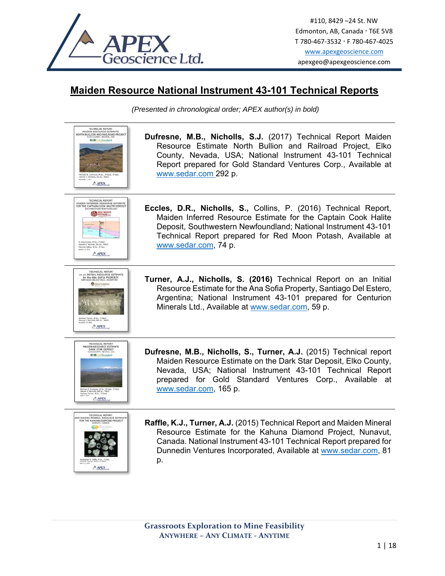

## **Maiden Resource National Instrument 43-101 Technical Reports**

*(Presented in chronological order; APEX author(s) in bold)* 

| TECHNICAL REPORT<br>MAIDEN RESOURCE ESTIMATE<br>NORTH BULLION AND RAILROAD PROJECT<br>TO COUNTY, NEVADA, USA<br><b>E EGoldStandard</b><br>Mchael B. Dufresné, M.Sc., P.Geol., P.<br>Nortwille, RA Sr., MAIO<br>$A$ APEX | Dufresne, M.B., Nicholls, S.J. (2017) Technical Report Maiden<br>Resource Estimate North Bullion and Railroad Project, Elko<br>County, Nevada, USA; National Instrument 43-101 Technical<br>Report prepared for Gold Standard Ventures Corp., Available at<br>www.sedar.com 292 p.         |
|-------------------------------------------------------------------------------------------------------------------------------------------------------------------------------------------------------------------------|--------------------------------------------------------------------------------------------------------------------------------------------------------------------------------------------------------------------------------------------------------------------------------------------|
| TECHNICAL REPORT<br>MAIDEN INFERRED RESOURCE ESTIMATE<br><b>RED MOON</b><br>POTASH<br>Steven J. Nicholis, DA.Sc., M.<br>Patrick Collins, M.Sc., P.Cen.<br>APEX                                                          | Eccles, D.R., Nicholls, S., Collins, P. (2016) Technical Report,<br>Maiden Inferred Resource Estimate for the Captain Cook Halite<br>Deposit, Southwestern Newfoundland; National Instrument 43-101<br>Technical Report prepared for Red Moon Potash, Available at<br>www.sedar.com, 74 p. |
| <b>TECHNICAL REPORT</b><br>on an INITIAL RESOURCE ESTIMATE<br>for the ANA SOFIA PROPERTY<br><b>CENTURIOS</b><br>$A$ APEX                                                                                                | Turner, A.J., Nicholls, S. (2016) Technical Report on an Initial<br>Resource Estimate for the Ana Sofia Property, Santiago Del Estero,<br>Argentina; National Instrument 43-101 prepared for Centurion<br>Minerals Ltd., Available at www.sedar.com, 59 p.                                 |
| TECHNICAL REPORT<br>MAIDEN RESOURCE ESTIMATE<br>DARK STAR DEPOSIT<br><b>RiffiColdStandard</b><br><b>APEX</b>                                                                                                            | Dufresne, M.B., Nicholls, S., Turner, A.J. (2015) Technical report<br>Maiden Resource Estimate on the Dark Star Deposit, Elko County,<br>Nevada, USA; National Instrument 43-101 Technical Report<br>prepared for Gold Standard Ventures Corp., Available at<br>www.sedar.com, 165 p.      |
| <b>TECHNICAL REPORT</b><br>AND MAIDEN MINERAL RESOURCE ESTIMATE<br>FOR THE KAHUNA DIAMOND PROJECT<br>$A$ APEX                                                                                                           | Raffle, K.J., Turner, A.J. (2015) Technical Report and Maiden Mineral<br>Resource Estimate for the Kahuna Diamond Project, Nunavut,<br>Canada. National Instrument 43-101 Technical Report prepared for<br>Dunnedin Ventures Incorporated, Available at www.sedar.com, 81<br>p.            |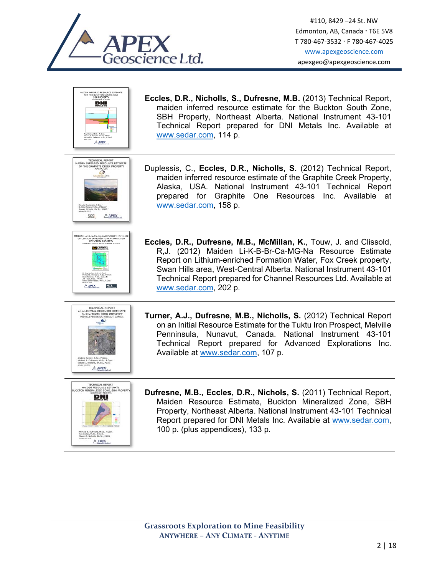



**Eccles, D.R., Nicholls, S., Dufresne, M.B.** (2013) Technical Report, maiden inferred resource estimate for the Buckton South Zone, SBH Property, Northeast Alberta. National Instrument 43-101 Technical Report prepared for DNI Metals Inc. Available at www.sedar.com, 114 p.



Duplessis, C., **Eccles, D.R., Nicholls, S.** (2012) Technical Report, maiden inferred resource estimate of the Graphite Creek Property, Alaska, USA. National Instrument 43-101 Technical Report prepared for Graphite One Resources Inc. Available at www.sedar.com, 158 p.



**Eccles, D.R., Dufresne, M.B., McMillan, K.**, Touw, J. and Clissold, R,J. (2012) Maiden Li-K-B-Br-Ca-MG-Na Resource Estimate Report on Lithium-enriched Formation Water, Fox Creek property, Swan Hills area, West-Central Alberta. National Instrument 43-101 Technical Report prepared for Channel Resources Ltd. Available at www.sedar.com, 202 p.



**Turner, A.J., Dufresne, M.B., Nicholls, S.** (2012) Technical Report on an Initial Resource Estimate for the Tuktu Iron Prospect, Melville Penninsula, Nunavut, Canada. National Instrument 43-101 Technical Report prepared for Advanced Explorations Inc. Available at www.sedar.com, 107 p.



**Dufresne, M.B., Eccles, D.R., Nichols, S.** (2011) Technical Report, Maiden Resource Estimate, Buckton Mineralized Zone, SBH Property, Northeast Alberta. National Instrument 43-101 Technical Report prepared for DNI Metals Inc. Available at www.sedar.com, 100 p. (plus appendices), 133 p.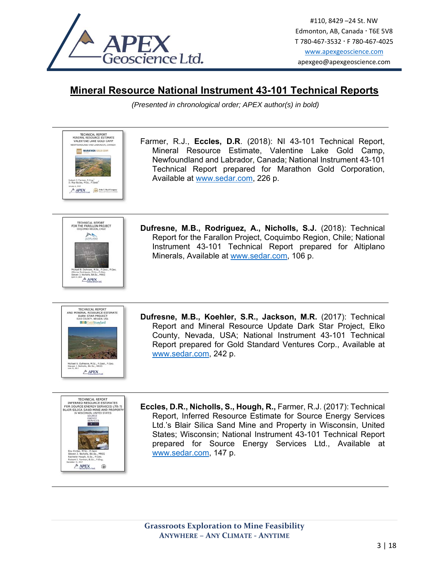

## **Mineral Resource National Instrument 43-101 Technical Reports**

*(Presented in chronological order; APEX author(s) in bold)* 

Farmer, R.J., **Eccles, D.R**. (2018): NI 43-101 Technical Report, Mineral Resource Estimate, Valentine Lake Gold Camp, Newfoundland and Labrador, Canada; National Instrument 43-101 Technical Report prepared for Marathon Gold Corporation, Available at www.sedar.com, 226 p.



TECHNICAL REPORT<br>MINERAL RESOURCE ESTIMATE VALENTINE LAKE GOLD CAMP **LAND AND LABRADOR, CAN TTT MARATHON GULD C** 

Robert 3, Farmer, P.Eng.<sup>1</sup><br>D. Roy Reclas, M.Sc., P.Cast  $A$  APEX  $\bigotimes$  Abellagat

> **Dufresne, M.B., Rodriguez, A., Nicholls, S.J.** (2018): Technical Report for the Farallon Project, Coquimbo Region, Chile; National Instrument 43-101 Technical Report prepared for Altiplano Minerals, Available at www.sedar.com, 106 p.



**Dufresne, M.B., Koehler, S.R., Jackson, M.R.** (2017): Technical Report and Mineral Resource Update Dark Star Project, Elko County, Nevada, USA; National Instrument 43-101 Technical Report prepared for Gold Standard Ventures Corp., Available at www.sedar.com, 242 p.



**Eccles, D.R., Nicholls, S., Hough, R.,** Farmer, R.J. (2017): Technical Report, Inferred Resource Estimate for Source Energy Services Ltd.'s Blair Silica Sand Mine and Property in Wisconsin, United States; Wisconsin; National Instrument 43-101 Technical Report prepared for Source Energy Services Ltd., Available at www.sedar.com, 147 p.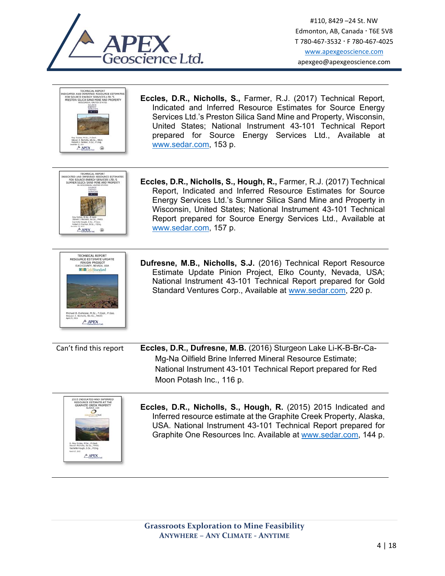

 $A$  APEX

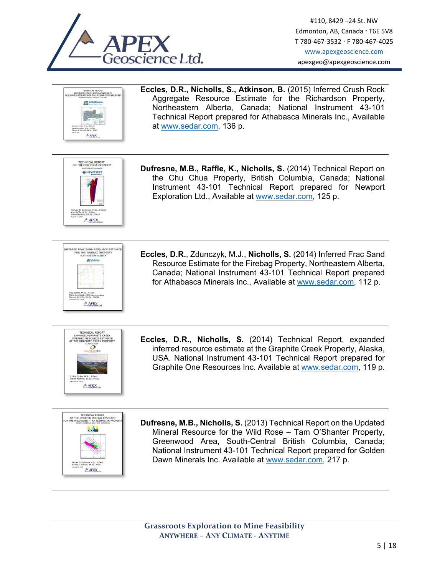





**Dufresne, M.B., Nicholls, S.** (2013) Technical Report on the Updated Mineral Resource for the Wild Rose – Tam O'Shanter Property, Greenwood Area, South-Central British Columbia, Canada; National Instrument 43-101 Technical Report prepared for Golden Dawn Minerals Inc. Available at www.sedar.com, 217 p.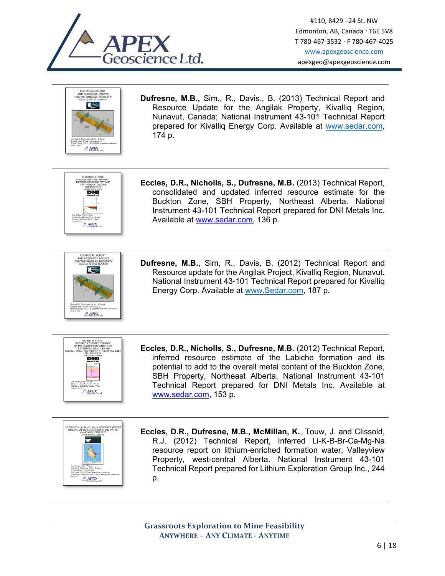





**Eccles, D.R., Nicholls, S., Dufresne, M.B.** (2013) Technical Report, consolidated and updated inferred resource estimate for the Buckton Zone, SBH Property, Northeast Alberta. National Instrument 43-101 Technical Report prepared for DNI Metals Inc. Available at www.sedar.com, 136 p.



**Dufresne, M.B.**, Sim, R., Davis, B. (2012) Technical Report and Resource update for the Angilak Project, Kivalliq Region, Nunavut. National Instrument 43-101 Technical Report prepared for Kivalliq Energy Corp. Available at www.Sedar.com, 187 p.



**Eccles, D.R., Nicholls, S., Dufresne, M.B.** (2012) Technical Report, inferred resource estimate of the Labiche formation and its potential to add to the overall metal content of the Buckton Zone, SBH Property, Northeast Alberta. National Instrument 43-101 Technical Report prepared for DNI Metals Inc. Available at www.sedar.com, 153 p.



**Eccles, D.R., Dufresne, M.B., McMillan, K.**, Touw, J. and Clissold, R.J. (2012) Technical Report, Inferred Li-K-B-Br-Ca-Mg-Na resource report on lithium-enriched formation water, Valleyview Property, west-central Alberta. National Instrument 43-101 Technical Report prepared for Lithium Exploration Group Inc., 244 p.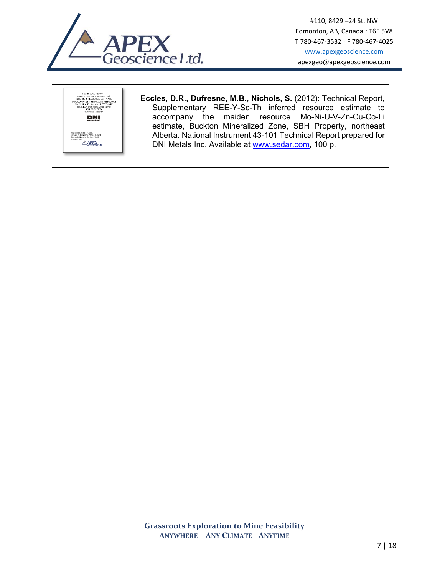



**Eccles, D.R., Dufresne, M.B., Nichols, S.** (2012): Technical Report, Supplementary REE-Y-Sc-Th inferred resource estimate to accompany the maiden resource Mo-Ni-U-V-Zn-Cu-Co-Li estimate, Buckton Mineralized Zone, SBH Property, northeast Alberta. National Instrument 43-101 Technical Report prepared for DNI Metals Inc. Available at www.sedar.com, 100 p.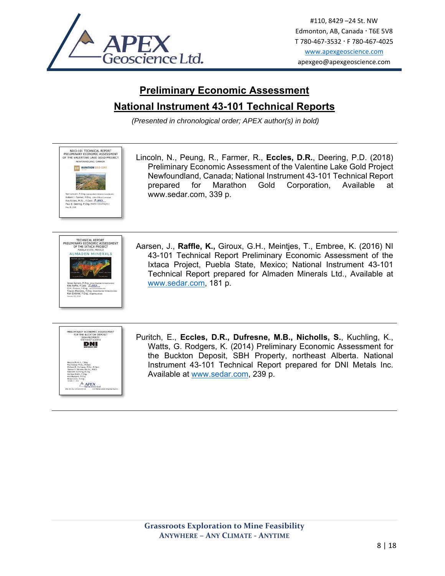

## **Preliminary Economic Assessment National Instrument 43-101 Technical Reports**

*(Presented in chronological order; APEX author(s) in bold)* 

NI43-101 TECHNICAL REPORT<br>PRELIMINARY ECONOMIC ASSESSMEN<br>OF THE VALENTINE LAKE GOLD PROJE Lincoln, N., Peung, R., Farmer, R., **Eccles, D.R.**, Deering, P.D. (2018) Preliminary Economic Assessment of the Valentine Lake Gold Project **FITE MARATHON GOLD CO** Newfoundland, Canada; National Instrument 43-101 Technical Report prepared for Marathon Gold Corporation, Available at www.sedar.com, 339 p.  $A$ TECHNICAL REPORT<br>VARY ECONOMIC ASSESSMENT PRELIME Aarsen, J., **Raffle, K.,** Giroux, G.H., Meintjes, T., Embree, K. (2016) NI OF THE IXTACA PROJECT **PUBLA STATE, MEXICO**<br>ALMADEN MINERALS 43-101 Technical Report Preliminary Economic Assessment of the Ixtaca Project, Puebla State, Mexico; National Instrument 43-101 Technical Report prepared for Almaden Minerals Ltd., Available at www.sedar.com, 181 p. PRELIMINARY ECONOMIC ASSESSMENT<br>FOR THE BUCKTON DEPOSIT<br>SBH PROPERTY Puritch, E., **Eccles, D.R., Dufresne, M.B., Nicholls, S.**, Kuchling, K., **DNI** Watts, G. Rodgers, K. (2014) Preliminary Economic Assessment for the Buckton Deposit, SBH Property, northeast Alberta. National Instrument 43-101 Technical Report prepared for DNI Metals Inc. Available at www.sedar.com, 239 p. **APEX**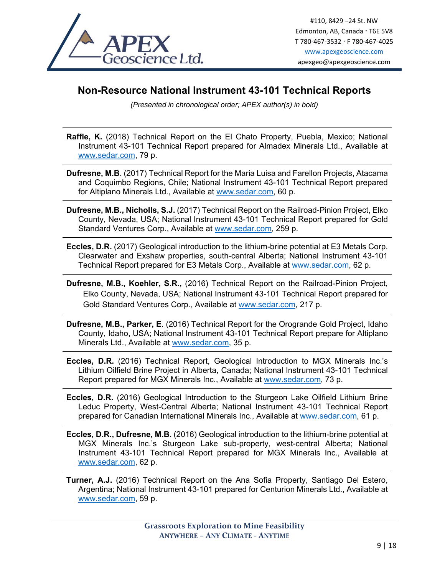

## **Non-Resource National Instrument 43-101 Technical Reports**

*(Presented in chronological order; APEX author(s) in bold)* 

**Raffle, K.** (2018) Technical Report on the El Chato Property, Puebla, Mexico; National Instrument 43-101 Technical Report prepared for Almadex Minerals Ltd., Available at www.sedar.com, 79 p.

**Dufresne, M.B**. (2017) Technical Report for the Maria Luisa and Farellon Projects, Atacama and Coquimbo Regions, Chile; National Instrument 43-101 Technical Report prepared for Altiplano Minerals Ltd., Available at www.sedar.com, 60 p.

- **Dufresne, M.B., Nicholls, S.J.** (2017) Technical Report on the Railroad-Pinion Project, Elko County, Nevada, USA; National Instrument 43-101 Technical Report prepared for Gold Standard Ventures Corp., Available at www.sedar.com, 259 p.
- **Eccles, D.R.** (2017) Geological introduction to the lithium-brine potential at E3 Metals Corp. Clearwater and Exshaw properties, south-central Alberta; National Instrument 43-101 Technical Report prepared for E3 Metals Corp., Available at www.sedar.com, 62 p.
- **Dufresne, M.B., Koehler, S.R.,** (2016) Technical Report on the Railroad-Pinion Project, Elko County, Nevada, USA; National Instrument 43-101 Technical Report prepared for Gold Standard Ventures Corp., Available at www.sedar.com, 217 p.
- **Dufresne, M.B., Parker, E**. (2016) Technical Report for the Orogrande Gold Project, Idaho County, Idaho, USA; National Instrument 43-101 Technical Report prepare for Altiplano Minerals Ltd., Available at www.sedar.com, 35 p.
- **Eccles, D.R.** (2016) Technical Report, Geological Introduction to MGX Minerals Inc.'s Lithium Oilfield Brine Project in Alberta, Canada; National Instrument 43-101 Technical Report prepared for MGX Minerals Inc., Available at www.sedar.com, 73 p.
- **Eccles, D.R.** (2016) Geological Introduction to the Sturgeon Lake Oilfield Lithium Brine Leduc Property, West-Central Alberta; National Instrument 43-101 Technical Report prepared for Canadian International Minerals Inc., Available at www.sedar.com, 61 p.

**Eccles, D.R., Dufresne, M.B.** (2016) Geological introduction to the lithium-brine potential at MGX Minerals Inc.'s Sturgeon Lake sub-property, west-central Alberta; National Instrument 43-101 Technical Report prepared for MGX Minerals Inc., Available at www.sedar.com, 62 p.

**Turner, A.J.** (2016) Technical Report on the Ana Sofia Property, Santiago Del Estero, Argentina; National Instrument 43-101 prepared for Centurion Minerals Ltd., Available at www.sedar.com, 59 p.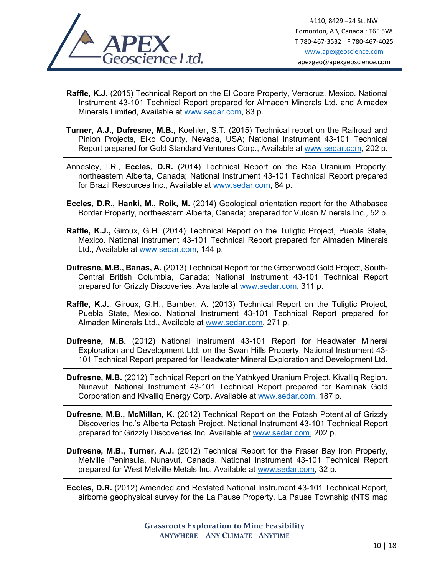

**Raffle, K.J.** (2015) Technical Report on the El Cobre Property, Veracruz, Mexico. National Instrument 43-101 Technical Report prepared for Almaden Minerals Ltd. and Almadex Minerals Limited, Available at www.sedar.com, 83 p.

- **Turner, A.J.**, **Dufresne, M.B.,** Koehler, S.T. (2015) Technical report on the Railroad and Pinion Projects, Elko County, Nevada, USA; National Instrument 43-101 Technical Report prepared for Gold Standard Ventures Corp., Available at www.sedar.com, 202 p.
- Annesley, I.R., **Eccles, D.R.** (2014) Technical Report on the Rea Uranium Property, northeastern Alberta, Canada; National Instrument 43-101 Technical Report prepared for Brazil Resources Inc., Available at www.sedar.com, 84 p.
- **Eccles, D.R., Hanki, M., Roik, M.** (2014) Geological orientation report for the Athabasca Border Property, northeastern Alberta, Canada; prepared for Vulcan Minerals Inc., 52 p.
- **Raffle, K.J.,** Giroux, G.H. (2014) Technical Report on the Tuligtic Project, Puebla State, Mexico. National Instrument 43-101 Technical Report prepared for Almaden Minerals Ltd., Available at www.sedar.com, 144 p.
- **Dufresne, M.B., Banas, A.** (2013) Technical Report for the Greenwood Gold Project, South-Central British Columbia, Canada; National Instrument 43-101 Technical Report prepared for Grizzly Discoveries. Available at www.sedar.com, 311 p.
- **Raffle, K.J.**, Giroux, G.H., Bamber, A. (2013) Technical Report on the Tuligtic Project, Puebla State, Mexico. National Instrument 43-101 Technical Report prepared for Almaden Minerals Ltd., Available at www.sedar.com, 271 p.

**Dufresne, M.B.** (2012) National Instrument 43-101 Report for Headwater Mineral Exploration and Development Ltd. on the Swan Hills Property. National Instrument 43- 101 Technical Report prepared for Headwater Mineral Exploration and Development Ltd.

**Dufresne, M.B.** (2012) Technical Report on the Yathkyed Uranium Project, Kivalliq Region, Nunavut. National Instrument 43-101 Technical Report prepared for Kaminak Gold Corporation and Kivalliq Energy Corp. Available at www.sedar.com, 187 p.

**Dufresne, M.B., McMillan, K.** (2012) Technical Report on the Potash Potential of Grizzly Discoveries Inc.'s Alberta Potash Project. National Instrument 43-101 Technical Report prepared for Grizzly Discoveries Inc. Available at www.sedar.com, 202 p.

**Dufresne, M.B., Turner, A.J.** (2012) Technical Report for the Fraser Bay Iron Property, Melville Peninsula, Nunavut, Canada. National Instrument 43-101 Technical Report prepared for West Melville Metals Inc. Available at www.sedar.com, 32 p.

**Eccles, D.R.** (2012) Amended and Restated National Instrument 43-101 Technical Report, airborne geophysical survey for the La Pause Property, La Pause Township (NTS map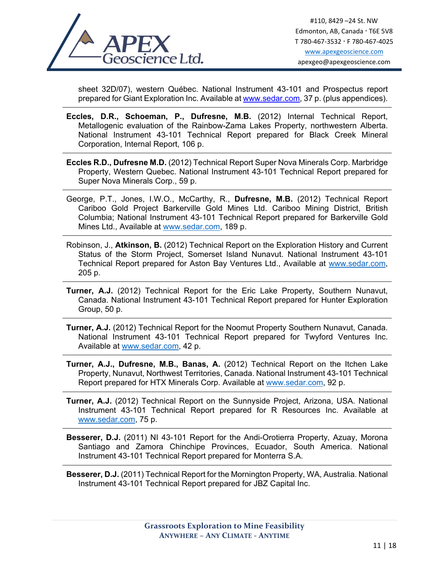

sheet 32D/07), western Québec. National Instrument 43-101 and Prospectus report prepared for Giant Exploration Inc. Available at www.sedar.com, 37 p. (plus appendices).

- **Eccles, D.R., Schoeman, P., Dufresne, M.B.** (2012) Internal Technical Report, Metallogenic evaluation of the Rainbow-Zama Lakes Property, northwestern Alberta. National Instrument 43-101 Technical Report prepared for Black Creek Mineral Corporation, Internal Report, 106 p.
- **Eccles R.D., Dufresne M.D.** (2012) Technical Report Super Nova Minerals Corp. Marbridge Property, Western Quebec. National Instrument 43-101 Technical Report prepared for Super Nova Minerals Corp., 59 p.
- George, P.T., Jones, I.W.O., McCarthy, R., **Dufresne, M.B.** (2012) Technical Report Cariboo Gold Project Barkerville Gold Mines Ltd. Cariboo Mining District, British Columbia; National Instrument 43-101 Technical Report prepared for Barkerville Gold Mines Ltd., Available at www.sedar.com, 189 p.
- Robinson, J., **Atkinson, B.** (2012) Technical Report on the Exploration History and Current Status of the Storm Project, Somerset Island Nunavut. National Instrument 43-101 Technical Report prepared for Aston Bay Ventures Ltd., Available at www.sedar.com, 205 p.
- **Turner, A.J.** (2012) Technical Report for the Eric Lake Property, Southern Nunavut, Canada. National Instrument 43-101 Technical Report prepared for Hunter Exploration Group, 50 p.
- **Turner, A.J.** (2012) Technical Report for the Noomut Property Southern Nunavut, Canada. National Instrument 43-101 Technical Report prepared for Twyford Ventures Inc. Available at www.sedar.com, 42 p.
- **Turner, A.J., Dufresne, M.B., Banas, A.** (2012) Technical Report on the Itchen Lake Property, Nunavut, Northwest Territories, Canada. National Instrument 43-101 Technical Report prepared for HTX Minerals Corp. Available at www.sedar.com, 92 p.
- **Turner, A.J.** (2012) Technical Report on the Sunnyside Project, Arizona, USA. National Instrument 43-101 Technical Report prepared for R Resources Inc. Available at www.sedar.com, 75 p.
- **Besserer, D.J.** (2011) NI 43-101 Report for the Andi-Orotierra Property, Azuay, Morona Santiago and Zamora Chinchipe Provinces, Ecuador, South America. National Instrument 43-101 Technical Report prepared for Monterra S.A.

**Besserer, D.J.** (2011) Technical Report for the Mornington Property, WA, Australia. National Instrument 43-101 Technical Report prepared for JBZ Capital Inc.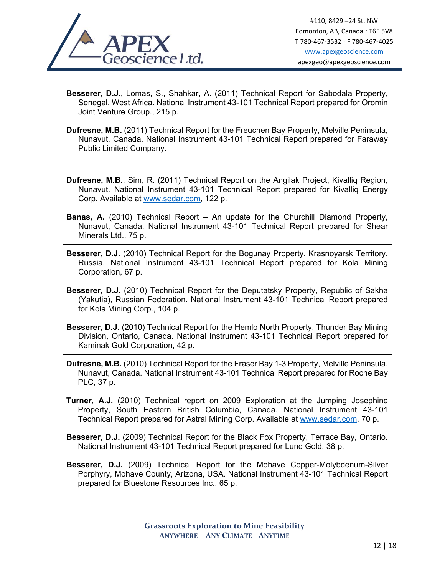

**Besserer, D.J.**, Lomas, S., Shahkar, A. (2011) Technical Report for Sabodala Property, Senegal, West Africa. National Instrument 43-101 Technical Report prepared for Oromin Joint Venture Group., 215 p.

**Dufresne, M.B.** (2011) Technical Report for the Freuchen Bay Property, Melville Peninsula, Nunavut, Canada. National Instrument 43-101 Technical Report prepared for Faraway Public Limited Company.

**Dufresne, M.B.**, Sim, R. (2011) Technical Report on the Angilak Project, Kivalliq Region, Nunavut. National Instrument 43-101 Technical Report prepared for Kivalliq Energy Corp. Available at www.sedar.com, 122 p.

- **Banas, A.** (2010) Technical Report An update for the Churchill Diamond Property, Nunavut, Canada. National Instrument 43-101 Technical Report prepared for Shear Minerals Ltd., 75 p.
- **Besserer, D.J.** (2010) Technical Report for the Bogunay Property, Krasnoyarsk Territory, Russia. National Instrument 43-101 Technical Report prepared for Kola Mining Corporation, 67 p.
- **Besserer, D.J.** (2010) Technical Report for the Deputatsky Property, Republic of Sakha (Yakutia), Russian Federation. National Instrument 43-101 Technical Report prepared for Kola Mining Corp., 104 p.
- **Besserer, D.J.** (2010) Technical Report for the Hemlo North Property, Thunder Bay Mining Division, Ontario, Canada. National Instrument 43-101 Technical Report prepared for Kaminak Gold Corporation, 42 p.
- **Dufresne, M.B.** (2010) Technical Report for the Fraser Bay 1-3 Property, Melville Peninsula, Nunavut, Canada. National Instrument 43-101 Technical Report prepared for Roche Bay PLC, 37 p.
- **Turner, A.J.** (2010) Technical report on 2009 Exploration at the Jumping Josephine Property, South Eastern British Columbia, Canada. National Instrument 43-101 Technical Report prepared for Astral Mining Corp. Available at www.sedar.com, 70 p.

**Besserer, D.J.** (2009) Technical Report for the Black Fox Property, Terrace Bay, Ontario. National Instrument 43-101 Technical Report prepared for Lund Gold, 38 p.

**Besserer, D.J.** (2009) Technical Report for the Mohave Copper-Molybdenum-Silver Porphyry, Mohave County, Arizona, USA. National Instrument 43-101 Technical Report prepared for Bluestone Resources Inc., 65 p.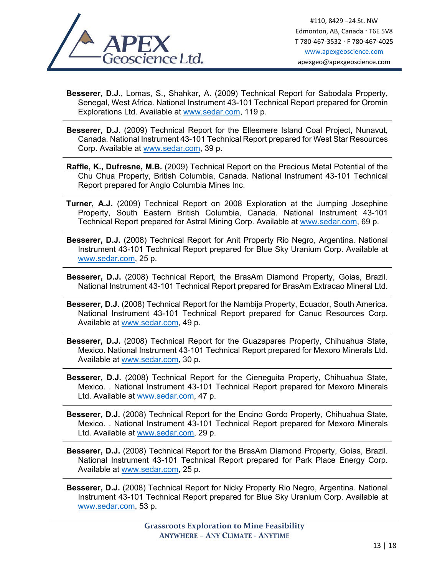

- **Besserer, D.J.**, Lomas, S., Shahkar, A. (2009) Technical Report for Sabodala Property, Senegal, West Africa. National Instrument 43-101 Technical Report prepared for Oromin Explorations Ltd. Available at www.sedar.com, 119 p.
- **Besserer, D.J.** (2009) Technical Report for the Ellesmere Island Coal Project, Nunavut, Canada. National Instrument 43-101 Technical Report prepared for West Star Resources Corp. Available at www.sedar.com, 39 p.
- **Raffle, K., Dufresne, M.B.** (2009) Technical Report on the Precious Metal Potential of the Chu Chua Property, British Columbia, Canada. National Instrument 43-101 Technical Report prepared for Anglo Columbia Mines Inc.
- **Turner, A.J.** (2009) Technical Report on 2008 Exploration at the Jumping Josephine Property, South Eastern British Columbia, Canada. National Instrument 43-101 Technical Report prepared for Astral Mining Corp. Available at www.sedar.com, 69 p.
- **Besserer, D.J.** (2008) Technical Report for Anit Property Rio Negro, Argentina. National Instrument 43-101 Technical Report prepared for Blue Sky Uranium Corp. Available at www.sedar.com, 25 p.
- **Besserer, D.J.** (2008) Technical Report, the BrasAm Diamond Property, Goias, Brazil. National Instrument 43-101 Technical Report prepared for BrasAm Extracao Mineral Ltd.
- **Besserer, D.J.** (2008) Technical Report for the Nambija Property, Ecuador, South America. National Instrument 43-101 Technical Report prepared for Canuc Resources Corp. Available at www.sedar.com, 49 p.
- **Besserer, D.J.** (2008) Technical Report for the Guazapares Property, Chihuahua State, Mexico. National Instrument 43-101 Technical Report prepared for Mexoro Minerals Ltd. Available at www.sedar.com, 30 p.
- **Besserer, D.J.** (2008) Technical Report for the Cieneguita Property, Chihuahua State, Mexico. . National Instrument 43-101 Technical Report prepared for Mexoro Minerals Ltd. Available at www.sedar.com, 47 p.
- **Besserer, D.J.** (2008) Technical Report for the Encino Gordo Property, Chihuahua State, Mexico. . National Instrument 43-101 Technical Report prepared for Mexoro Minerals Ltd. Available at www.sedar.com, 29 p.
- **Besserer, D.J.** (2008) Technical Report for the BrasAm Diamond Property, Goias, Brazil. National Instrument 43-101 Technical Report prepared for Park Place Energy Corp. Available at www.sedar.com, 25 p.
- **Besserer, D.J.** (2008) Technical Report for Nicky Property Rio Negro, Argentina. National Instrument 43-101 Technical Report prepared for Blue Sky Uranium Corp. Available at www.sedar.com, 53 p.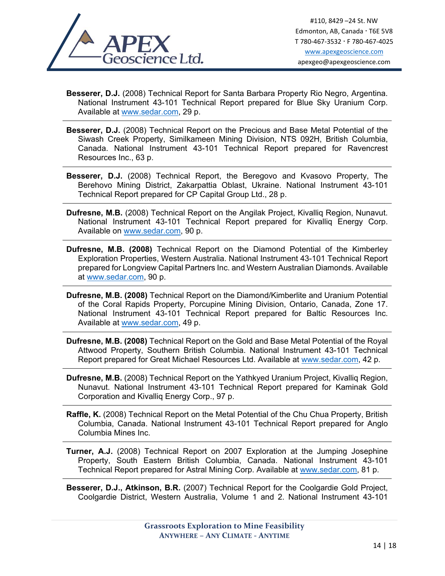

**Besserer, D.J.** (2008) Technical Report for Santa Barbara Property Rio Negro, Argentina. National Instrument 43-101 Technical Report prepared for Blue Sky Uranium Corp. Available at www.sedar.com, 29 p.

- **Besserer, D.J.** (2008) Technical Report on the Precious and Base Metal Potential of the Siwash Creek Property, Similkameen Mining Division, NTS 092H, British Columbia, Canada. National Instrument 43-101 Technical Report prepared for Ravencrest Resources Inc., 63 p.
- **Besserer, D.J.** (2008) Technical Report, the Beregovo and Kvasovo Property, The Berehovo Mining District, Zakarpattia Oblast, Ukraine. National Instrument 43-101 Technical Report prepared for CP Capital Group Ltd., 28 p.
- **Dufresne, M.B.** (2008) Technical Report on the Angilak Project, Kivalliq Region, Nunavut. National Instrument 43-101 Technical Report prepared for Kivalliq Energy Corp. Available on www.sedar.com, 90 p.
- **Dufresne, M.B. (2008)** Technical Report on the Diamond Potential of the Kimberley Exploration Properties, Western Australia. National Instrument 43-101 Technical Report prepared for Longview Capital Partners Inc. and Western Australian Diamonds. Available at www.sedar.com, 90 p.
- **Dufresne, M.B. (2008)** Technical Report on the Diamond/Kimberlite and Uranium Potential of the Coral Rapids Property, Porcupine Mining Division, Ontario, Canada, Zone 17. National Instrument 43-101 Technical Report prepared for Baltic Resources Inc. Available at www.sedar.com, 49 p.
- **Dufresne, M.B. (2008)** Technical Report on the Gold and Base Metal Potential of the Royal Attwood Property, Southern British Columbia. National Instrument 43-101 Technical Report prepared for Great Michael Resources Ltd. Available at www.sedar.com, 42 p.
- **Dufresne, M.B.** (2008) Technical Report on the Yathkyed Uranium Project, Kivalliq Region, Nunavut. National Instrument 43-101 Technical Report prepared for Kaminak Gold Corporation and Kivalliq Energy Corp., 97 p.

**Raffle, K.** (2008) Technical Report on the Metal Potential of the Chu Chua Property, British Columbia, Canada. National Instrument 43-101 Technical Report prepared for Anglo Columbia Mines Inc.

**Turner, A.J.** (2008) Technical Report on 2007 Exploration at the Jumping Josephine Property, South Eastern British Columbia, Canada. National Instrument 43-101 Technical Report prepared for Astral Mining Corp. Available at www.sedar.com, 81 p.

**Besserer, D.J., Atkinson, B.R.** (2007) Technical Report for the Coolgardie Gold Project, Coolgardie District, Western Australia, Volume 1 and 2. National Instrument 43-101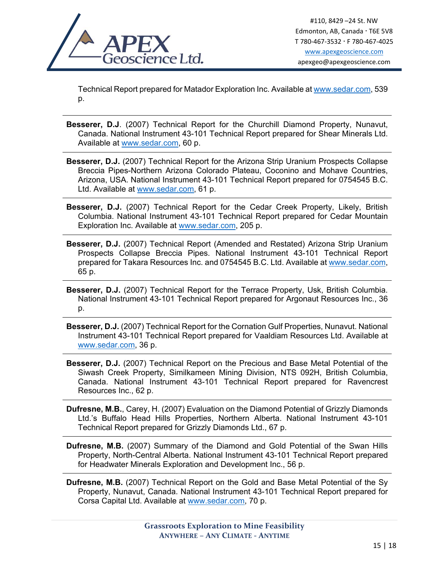

Technical Report prepared for Matador Exploration Inc. Available at www.sedar.com, 539 p.

- **Besserer, D.J**. (2007) Technical Report for the Churchill Diamond Property, Nunavut, Canada. National Instrument 43-101 Technical Report prepared for Shear Minerals Ltd. Available at www.sedar.com, 60 p.
- **Besserer, D.J.** (2007) Technical Report for the Arizona Strip Uranium Prospects Collapse Breccia Pipes-Northern Arizona Colorado Plateau, Coconino and Mohave Countries, Arizona, USA. National Instrument 43-101 Technical Report prepared for 0754545 B.C. Ltd. Available at www.sedar.com, 61 p.
- **Besserer, D.J.** (2007) Technical Report for the Cedar Creek Property, Likely, British Columbia. National Instrument 43-101 Technical Report prepared for Cedar Mountain Exploration Inc. Available at www.sedar.com, 205 p.
- **Besserer, D.J.** (2007) Technical Report (Amended and Restated) Arizona Strip Uranium Prospects Collapse Breccia Pipes. National Instrument 43-101 Technical Report prepared for Takara Resources Inc. and 0754545 B.C. Ltd. Available at www.sedar.com, 65 p.
- **Besserer, D.J.** (2007) Technical Report for the Terrace Property, Usk, British Columbia. National Instrument 43-101 Technical Report prepared for Argonaut Resources Inc., 36 p.
- **Besserer, D.J.** (2007) Technical Report for the Cornation Gulf Properties, Nunavut. National Instrument 43-101 Technical Report prepared for Vaaldiam Resources Ltd. Available at www.sedar.com, 36 p.
- **Besserer, D.J.** (2007) Technical Report on the Precious and Base Metal Potential of the Siwash Creek Property, Similkameen Mining Division, NTS 092H, British Columbia, Canada. National Instrument 43-101 Technical Report prepared for Ravencrest Resources Inc., 62 p.
- **Dufresne, M.B.**, Carey, H. (2007) Evaluation on the Diamond Potential of Grizzly Diamonds Ltd.'s Buffalo Head Hills Properties, Northern Alberta. National Instrument 43-101 Technical Report prepared for Grizzly Diamonds Ltd., 67 p.
- **Dufresne, M.B.** (2007) Summary of the Diamond and Gold Potential of the Swan Hills Property, North-Central Alberta. National Instrument 43-101 Technical Report prepared for Headwater Minerals Exploration and Development Inc., 56 p.
- **Dufresne, M.B.** (2007) Technical Report on the Gold and Base Metal Potential of the Sy Property, Nunavut, Canada. National Instrument 43-101 Technical Report prepared for Corsa Capital Ltd. Available at www.sedar.com, 70 p.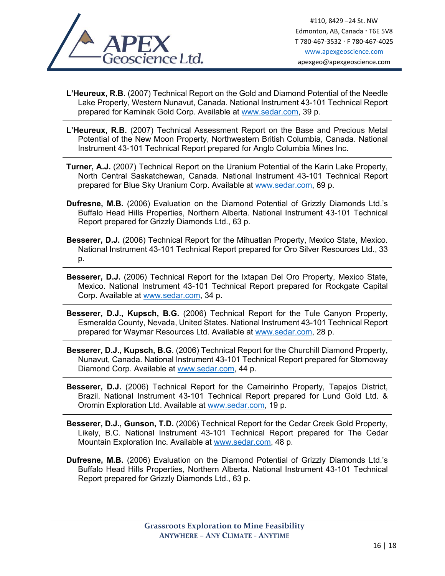

- **L'Heureux, R.B.** (2007) Technical Report on the Gold and Diamond Potential of the Needle Lake Property, Western Nunavut, Canada. National Instrument 43-101 Technical Report prepared for Kaminak Gold Corp. Available at www.sedar.com, 39 p.
- **L'Heureux, R.B.** (2007) Technical Assessment Report on the Base and Precious Metal Potential of the New Moon Property, Northwestern British Columbia, Canada. National Instrument 43-101 Technical Report prepared for Anglo Columbia Mines Inc.
- **Turner, A.J.** (2007) Technical Report on the Uranium Potential of the Karin Lake Property, North Central Saskatchewan, Canada. National Instrument 43-101 Technical Report prepared for Blue Sky Uranium Corp. Available at www.sedar.com, 69 p.
- **Dufresne, M.B.** (2006) Evaluation on the Diamond Potential of Grizzly Diamonds Ltd.'s Buffalo Head Hills Properties, Northern Alberta. National Instrument 43-101 Technical Report prepared for Grizzly Diamonds Ltd., 63 p.
- **Besserer, D.J.** (2006) Technical Report for the Mihuatlan Property, Mexico State, Mexico. National Instrument 43-101 Technical Report prepared for Oro Silver Resources Ltd., 33 p.
- **Besserer, D.J.** (2006) Technical Report for the Ixtapan Del Oro Property, Mexico State, Mexico. National Instrument 43-101 Technical Report prepared for Rockgate Capital Corp. Available at www.sedar.com, 34 p.
- **Besserer, D.J., Kupsch, B.G.** (2006) Technical Report for the Tule Canyon Property, Esmeralda County, Nevada, United States. National Instrument 43-101 Technical Report prepared for Waymar Resources Ltd. Available at www.sedar.com, 28 p.
- **Besserer, D.J., Kupsch, B.G**. (2006) Technical Report for the Churchill Diamond Property, Nunavut, Canada. National Instrument 43-101 Technical Report prepared for Stornoway Diamond Corp. Available at www.sedar.com, 44 p.
- **Besserer, D.J.** (2006) Technical Report for the Carneirinho Property, Tapajos District, Brazil. National Instrument 43-101 Technical Report prepared for Lund Gold Ltd. & Oromin Exploration Ltd. Available at www.sedar.com, 19 p.
- **Besserer, D.J., Gunson, T.D.** (2006) Technical Report for the Cedar Creek Gold Property, Likely, B.C. National Instrument 43-101 Technical Report prepared for The Cedar Mountain Exploration Inc. Available at www.sedar.com, 48 p.
- **Dufresne, M.B.** (2006) Evaluation on the Diamond Potential of Grizzly Diamonds Ltd.'s Buffalo Head Hills Properties, Northern Alberta. National Instrument 43-101 Technical Report prepared for Grizzly Diamonds Ltd., 63 p.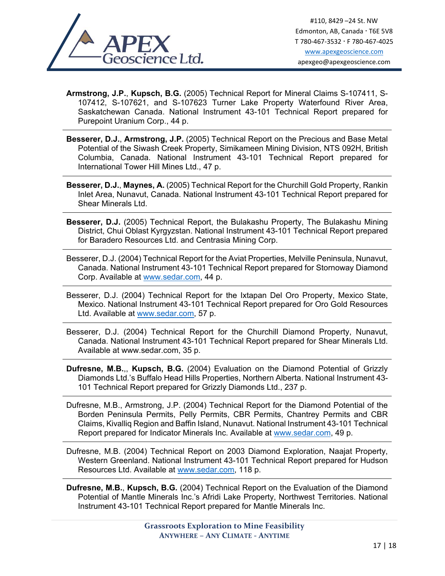

**Armstrong, J.P.**, **Kupsch, B.G.** (2005) Technical Report for Mineral Claims S-107411, S-107412, S-107621, and S-107623 Turner Lake Property Waterfound River Area, Saskatchewan Canada. National Instrument 43-101 Technical Report prepared for Purepoint Uranium Corp., 44 p.

- **Besserer, D.J.**, **Armstrong, J.P.** (2005) Technical Report on the Precious and Base Metal Potential of the Siwash Creek Property, Simikameen Mining Division, NTS 092H, British Columbia, Canada. National Instrument 43-101 Technical Report prepared for International Tower Hill Mines Ltd., 47 p.
- **Besserer, D.J.**, **Maynes, A.** (2005) Technical Report for the Churchill Gold Property, Rankin Inlet Area, Nunavut, Canada. National Instrument 43-101 Technical Report prepared for Shear Minerals Ltd.
- **Besserer, D.J.** (2005) Technical Report, the Bulakashu Property, The Bulakashu Mining District, Chui Oblast Kyrgyzstan. National Instrument 43-101 Technical Report prepared for Baradero Resources Ltd. and Centrasia Mining Corp.
- Besserer, D.J. (2004) Technical Report for the Aviat Properties, Melville Peninsula, Nunavut, Canada. National Instrument 43-101 Technical Report prepared for Stornoway Diamond Corp. Available at www.sedar.com, 44 p.
- Besserer, D.J. (2004) Technical Report for the Ixtapan Del Oro Property, Mexico State, Mexico. National Instrument 43-101 Technical Report prepared for Oro Gold Resources Ltd. Available at www.sedar.com, 57 p.
- Besserer, D.J. (2004) Technical Report for the Churchill Diamond Property, Nunavut, Canada. National Instrument 43-101 Technical Report prepared for Shear Minerals Ltd. Available at www.sedar.com, 35 p.
- **Dufresne, M.B.**,, **Kupsch, B.G.** (2004) Evaluation on the Diamond Potential of Grizzly Diamonds Ltd.'s Buffalo Head Hills Properties, Northern Alberta. National Instrument 43- 101 Technical Report prepared for Grizzly Diamonds Ltd., 237 p.
- Dufresne, M.B., Armstrong, J.P. (2004) Technical Report for the Diamond Potential of the Borden Peninsula Permits, Pelly Permits, CBR Permits, Chantrey Permits and CBR Claims, Kivalliq Region and Baffin Island, Nunavut. National Instrument 43-101 Technical Report prepared for Indicator Minerals Inc. Available at www.sedar.com, 49 p.
- Dufresne, M.B. (2004) Technical Report on 2003 Diamond Exploration, Naajat Property, Western Greenland. National Instrument 43-101 Technical Report prepared for Hudson Resources Ltd. Available at www.sedar.com, 118 p.

**Dufresne, M.B.**, **Kupsch, B.G.** (2004) Technical Report on the Evaluation of the Diamond Potential of Mantle Minerals Inc.'s Afridi Lake Property, Northwest Territories. National Instrument 43-101 Technical Report prepared for Mantle Minerals Inc.